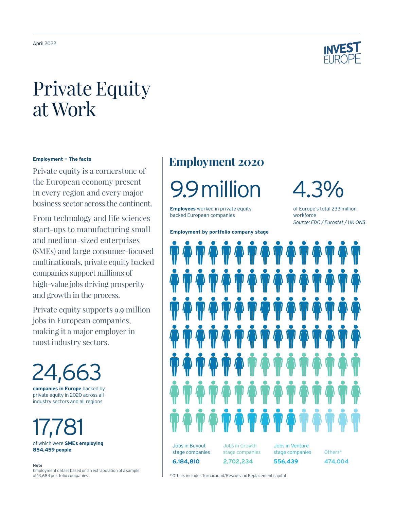

# Private Equity at Work

## **Employment — The facts**

Private equity is a cornerstone of the European economy present in every region and every major business sector across the continent.

From technology and life sciences start-ups to manufacturing small and medium-sized enterprises (SMEs) and large consumer-focused multinationals, private equity backed companies support millions of high-value jobs driving prosperity and growth in the process.

Private equity supports 9.9 million jobs in European companies, making it a major employer in most industry sectors.

24,66 **companies in Europe** backed by

private equity in 2020 across all industry sectors and all regions

17,781 of which were **SMEs employing 854,459 people**

**Note** Employment data is based on an extrapolation of a sample of 13,684 portfolio companies

# **Employment 2020**

9.9million 4.3%

**Employees** worked in private equity backed European companies

**Employment by portfolio company stage**

of Europe's total 233 million workforce *Source: EDC / Eurostat / UK ONS*



\* Others includes Turnaround/Rescue and Replacement capital